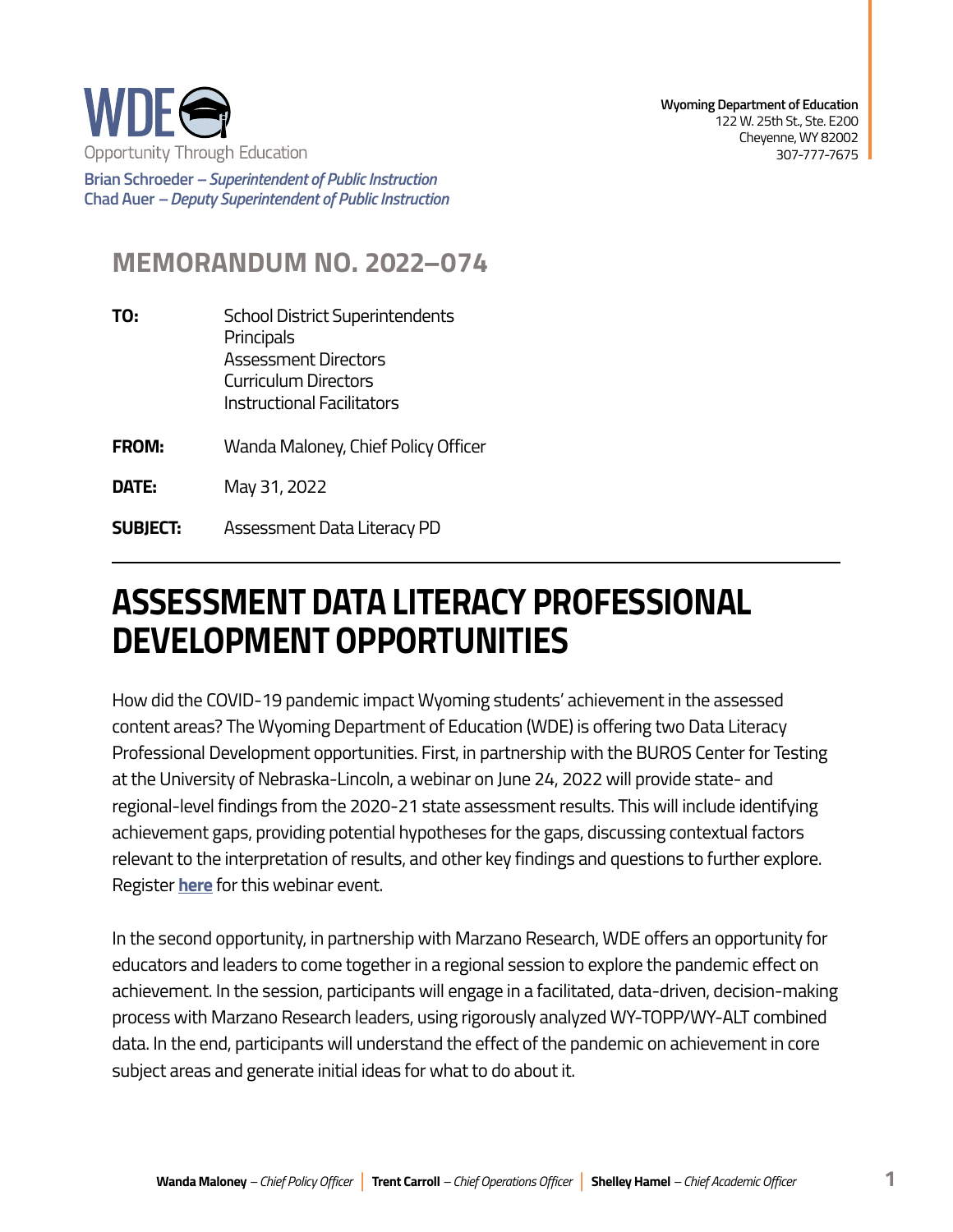

**Brian Schroeder –***Superintendent of Public Instruction*  **Chad Auer** *– Deputy Superintendent of Public Instruction* 

## **MEMORANDUM NO. 2022–074**

- **TO:** School District Superintendents Principals Assessment Directors Curriculum Directors Instructional Facilitators
- **FROM:** Wanda Maloney, Chief Policy Officer
- **DATE:** May 31, 2022
- **SUBJECT:** Assessment Data Literacy PD

## **ASSESSMENT DATA LITERACY PROFESSIONAL DEVELOPMENT OPPORTUNITIES**

How did the COVID-19 pandemic impact Wyoming students' achievement in the assessed content areas? The Wyoming Department of Education (WDE) is offering two Data Literacy Professional Development opportunities. First, in partnership with the BUROS Center for Testing at the University of Nebraska-Lincoln, a webinar on June 24, 2022 will provide state- and regional-level findings from the 2020-21 state assessment results. This will include identifying achievement gaps, providing potential hypotheses for the gaps, discussing contextual factors relevant to the interpretation of results, and other key findings and questions to further explore. Register **[here](https://docs.google.com/forms/d/e/1FAIpQLSfCXbqx6EtKnxPGK5UiZ2EhVEIXfO--vQF_PoW_u0myURvVrA/viewform?usp=sf_link)** for this webinar event.

In the second opportunity, in partnership with Marzano Research, WDE offers an opportunity for educators and leaders to come together in a regional session to explore the pandemic effect on achievement. In the session, participants will engage in a facilitated, data-driven, decision-making process with Marzano Research leaders, using rigorously analyzed WY-TOPP/WY-ALT combined data. In the end, participants will understand the effect of the pandemic on achievement in core subject areas and generate initial ideas for what to do about it.